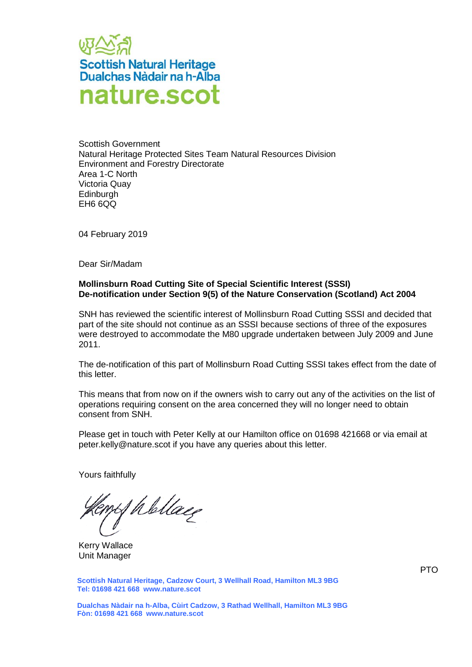

Scottish Government Natural Heritage Protected Sites Team Natural Resources Division Environment and Forestry Directorate Area 1-C North Victoria Quay **Edinburgh** EH6 6QQ

04 February 2019

Dear Sir/Madam

## **Mollinsburn Road Cutting Site of Special Scientific Interest (SSSI) De-notification under Section 9(5) of the Nature Conservation (Scotland) Act 2004**

SNH has reviewed the scientific interest of Mollinsburn Road Cutting SSSI and decided that part of the site should not continue as an SSSI because sections of three of the exposures were destroyed to accommodate the M80 upgrade undertaken between July 2009 and June 2011.

The de-notification of this part of Mollinsburn Road Cutting SSSI takes effect from the date of this letter.

This means that from now on if the owners wish to carry out any of the activities on the list of operations requiring consent on the area concerned they will no longer need to obtain consent from SNH.

Please get in touch with Peter Kelly at our Hamilton office on 01698 421668 or via email at peter.kelly@nature.scot if you have any queries about this letter.

Yours faithfully

of Wellace

Kerry Wallace Unit Manager

**Scottish Natural Heritage, Cadzow Court, 3 Wellhall Road, Hamilton ML3 9BG Tel: 01698 421 668 www.nature.scot**

**Dualchas Nàdair na h-Alba, Cùirt Cadzow, 3 Rathad Wellhall, Hamilton ML3 9BG Fòn: 01698 421 668 www.nature.scot**

PTO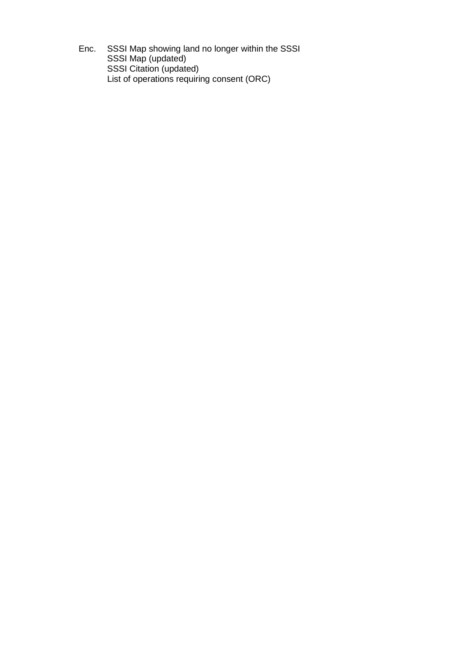Enc. SSSI Map showing land no longer within the SSSI SSSI Map (updated) SSSI Citation (updated) List of operations requiring consent (ORC)